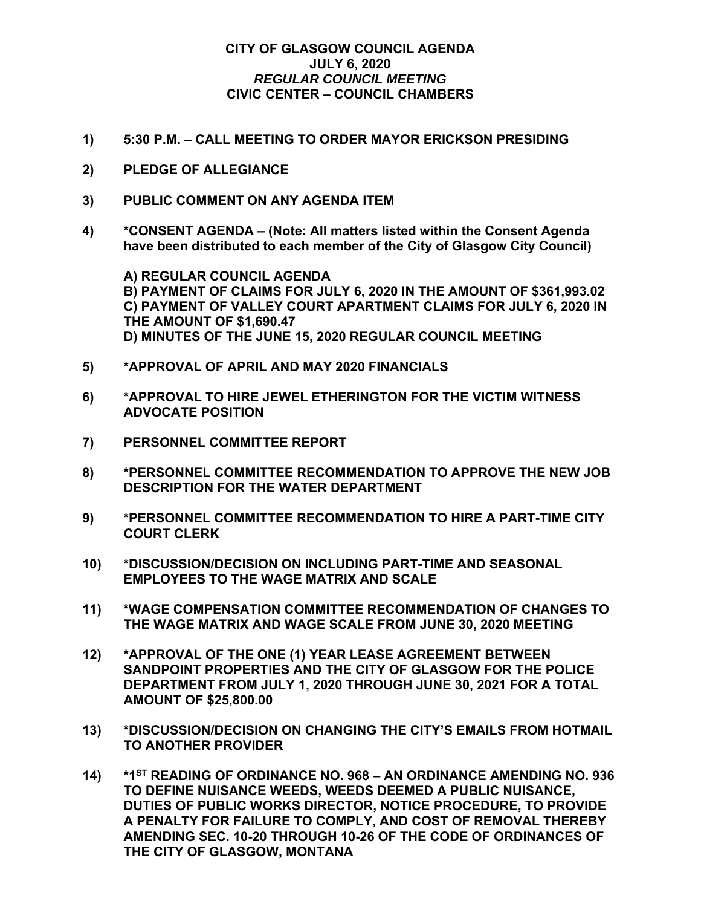## **CITY OF GLASGOW COUNCIL AGENDA JULY 6, 2020**  *REGULAR COUNCIL MEETING*  **CIVIC CENTER – COUNCIL CHAMBERS**

- **1) 5:30 P.M. CALL MEETING TO ORDER MAYOR ERICKSON PRESIDING**
- **2) PLEDGE OF ALLEGIANCE**
- **3) PUBLIC COMMENT ON ANY AGENDA ITEM**
- **4) \*CONSENT AGENDA (Note: All matters listed within the Consent Agenda have been distributed to each member of the City of Glasgow City Council)**

 **A) REGULAR COUNCIL AGENDA B) PAYMENT OF CLAIMS FOR JULY 6, 2020 IN THE AMOUNT OF \$361,993.02 C) PAYMENT OF VALLEY COURT APARTMENT CLAIMS FOR JULY 6, 2020 IN THE AMOUNT OF \$1,690.47 D) MINUTES OF THE JUNE 15, 2020 REGULAR COUNCIL MEETING** 

- **5) \*APPROVAL OF APRIL AND MAY 2020 FINANCIALS**
- **6) \*APPROVAL TO HIRE JEWEL ETHERINGTON FOR THE VICTIM WITNESS ADVOCATE POSITION**
- **7) PERSONNEL COMMITTEE REPORT**
- **8) \*PERSONNEL COMMITTEE RECOMMENDATION TO APPROVE THE NEW JOB DESCRIPTION FOR THE WATER DEPARTMENT**
- **9) \*PERSONNEL COMMITTEE RECOMMENDATION TO HIRE A PART-TIME CITY COURT CLERK**
- **10) \*DISCUSSION/DECISION ON INCLUDING PART-TIME AND SEASONAL EMPLOYEES TO THE WAGE MATRIX AND SCALE**
- **11) \*WAGE COMPENSATION COMMITTEE RECOMMENDATION OF CHANGES TO THE WAGE MATRIX AND WAGE SCALE FROM JUNE 30, 2020 MEETING**
- **12) \*APPROVAL OF THE ONE (1) YEAR LEASE AGREEMENT BETWEEN SANDPOINT PROPERTIES AND THE CITY OF GLASGOW FOR THE POLICE DEPARTMENT FROM JULY 1, 2020 THROUGH JUNE 30, 2021 FOR A TOTAL AMOUNT OF \$25,800.00**
- **13) \*DISCUSSION/DECISION ON CHANGING THE CITY'S EMAILS FROM HOTMAIL TO ANOTHER PROVIDER**
- **14) \*1ST READING OF ORDINANCE NO. 968 AN ORDINANCE AMENDING NO. 936 TO DEFINE NUISANCE WEEDS, WEEDS DEEMED A PUBLIC NUISANCE, DUTIES OF PUBLIC WORKS DIRECTOR, NOTICE PROCEDURE, TO PROVIDE A PENALTY FOR FAILURE TO COMPLY, AND COST OF REMOVAL THEREBY AMENDING SEC. 10-20 THROUGH 10-26 OF THE CODE OF ORDINANCES OF THE CITY OF GLASGOW, MONTANA**